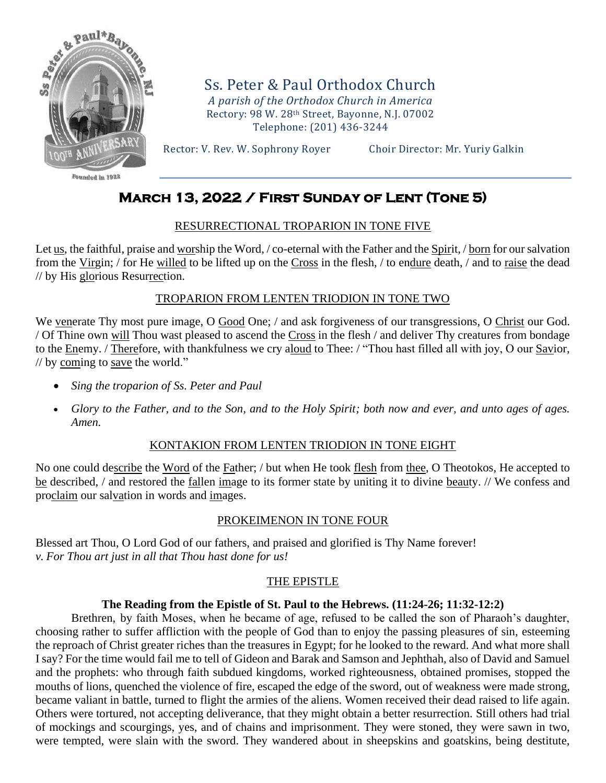

Founded in 1927

Ss. Peter & Paul Orthodox Church *A parish of the Orthodox Church in America* Rectory: 98 W. 28th Street, Bayonne, N.J. 07002 Telephone: (201) 436-3244

Rector: V. Rev. W. Sophrony Royer Choir Director: Mr. Yuriy Galkin

# **March 13, 2022 / First Sunday of Lent (Tone 5)**

# RESURRECTIONAL TROPARION IN TONE FIVE

Let us, the faithful, praise and worship the Word, / co-eternal with the Father and the Spirit, / born for our salvation from the Virgin; / for He willed to be lifted up on the Cross in the flesh, / to endure death, / and to raise the dead // by His glorious Resurrection.

# TROPARION FROM LENTEN TRIODION IN TONE TWO

We venerate Thy most pure image, O Good One; / and ask forgiveness of our transgressions, O Christ our God. / Of Thine own will Thou wast pleased to ascend the Cross in the flesh / and deliver Thy creatures from bondage to the Enemy. / Therefore, with thankfulness we cry aloud to Thee: / "Thou hast filled all with joy, O our Savior, // by coming to save the world."

- *Sing the troparion of Ss. Peter and Paul*
- *Glory to the Father, and to the Son, and to the Holy Spirit; both now and ever, and unto ages of ages. Amen.*

## KONTAKION FROM LENTEN TRIODION IN TONE EIGHT

No one could describe the Word of the Father; / but when He took flesh from thee, O Theotokos, He accepted to be described, / and restored the fallen image to its former state by uniting it to divine beauty. // We confess and proclaim our salvation in words and images.

## PROKEIMENON IN TONE FOUR

Blessed art Thou, O Lord God of our fathers, and praised and glorified is Thy Name forever! *v. For Thou art just in all that Thou hast done for us!*

# THE EPISTLE

## **The Reading from the Epistle of St. Paul to the Hebrews. (11:24-26; 11:32-12:2)**

Brethren, by faith Moses, when he became of age, refused to be called the son of Pharaoh's daughter, choosing rather to suffer affliction with the people of God than to enjoy the passing pleasures of sin, esteeming the reproach of Christ greater riches than the treasures in Egypt; for he looked to the reward. And what more shall I say? For the time would fail me to tell of Gideon and Barak and Samson and Jephthah, also of David and Samuel and the prophets: who through faith subdued kingdoms, worked righteousness, obtained promises, stopped the mouths of lions, quenched the violence of fire, escaped the edge of the sword, out of weakness were made strong, became valiant in battle, turned to flight the armies of the aliens. Women received their dead raised to life again. Others were tortured, not accepting deliverance, that they might obtain a better resurrection. Still others had trial of mockings and scourgings, yes, and of chains and imprisonment. They were stoned, they were sawn in two, were tempted, were slain with the sword. They wandered about in sheepskins and goatskins, being destitute,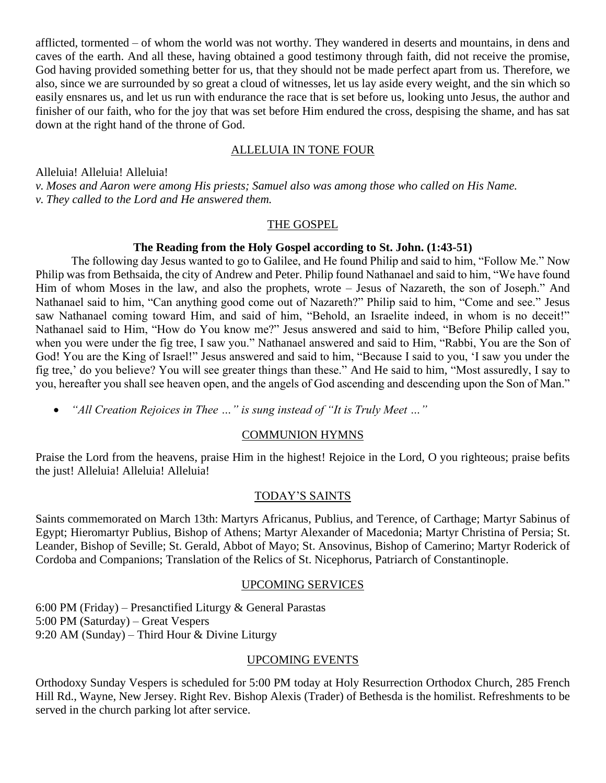afflicted, tormented – of whom the world was not worthy. They wandered in deserts and mountains, in dens and caves of the earth. And all these, having obtained a good testimony through faith, did not receive the promise, God having provided something better for us, that they should not be made perfect apart from us. Therefore, we also, since we are surrounded by so great a cloud of witnesses, let us lay aside every weight, and the sin which so easily ensnares us, and let us run with endurance the race that is set before us, looking unto Jesus, the author and finisher of our faith, who for the joy that was set before Him endured the cross, despising the shame, and has sat down at the right hand of the throne of God.

# ALLELUIA IN TONE FOUR

Alleluia! Alleluia! Alleluia!

*v. Moses and Aaron were among His priests; Samuel also was among those who called on His Name. v. They called to the Lord and He answered them.*

#### THE GOSPEL

## **The Reading from the Holy Gospel according to St. John. (1:43-51)**

The following day Jesus wanted to go to Galilee, and He found Philip and said to him, "Follow Me." Now Philip was from Bethsaida, the city of Andrew and Peter. Philip found Nathanael and said to him, "We have found Him of whom Moses in the law, and also the prophets, wrote – Jesus of Nazareth, the son of Joseph." And Nathanael said to him, "Can anything good come out of Nazareth?" Philip said to him, "Come and see." Jesus saw Nathanael coming toward Him, and said of him, "Behold, an Israelite indeed, in whom is no deceit!" Nathanael said to Him, "How do You know me?" Jesus answered and said to him, "Before Philip called you, when you were under the fig tree, I saw you." Nathanael answered and said to Him, "Rabbi, You are the Son of God! You are the King of Israel!" Jesus answered and said to him, "Because I said to you, 'I saw you under the fig tree,' do you believe? You will see greater things than these." And He said to him, "Most assuredly, I say to you, hereafter you shall see heaven open, and the angels of God ascending and descending upon the Son of Man."

• *"All Creation Rejoices in Thee …" is sung instead of "It is Truly Meet …"* 

## COMMUNION HYMNS

Praise the Lord from the heavens, praise Him in the highest! Rejoice in the Lord, O you righteous; praise befits the just! Alleluia! Alleluia! Alleluia!

## TODAY'S SAINTS

Saints commemorated on March 13th: Martyrs Africanus, Publius, and Terence, of Carthage; Martyr Sabinus of Egypt; Hieromartyr Publius, Bishop of Athens; Martyr Alexander of Macedonia; Martyr Christina of Persia; St. Leander, Bishop of Seville; St. Gerald, Abbot of Mayo; St. Ansovinus, Bishop of Camerino; Martyr Roderick of Cordoba and Companions; Translation of the Relics of St. Nicephorus, Patriarch of Constantinople.

## UPCOMING SERVICES

6:00 PM (Friday) – Presanctified Liturgy & General Parastas 5:00 PM (Saturday) – Great Vespers 9:20 AM (Sunday) – Third Hour & Divine Liturgy

# UPCOMING EVENTS

Orthodoxy Sunday Vespers is scheduled for 5:00 PM today at Holy Resurrection Orthodox Church, 285 French Hill Rd., Wayne, New Jersey. Right Rev. Bishop Alexis (Trader) of Bethesda is the homilist. Refreshments to be served in the church parking lot after service.